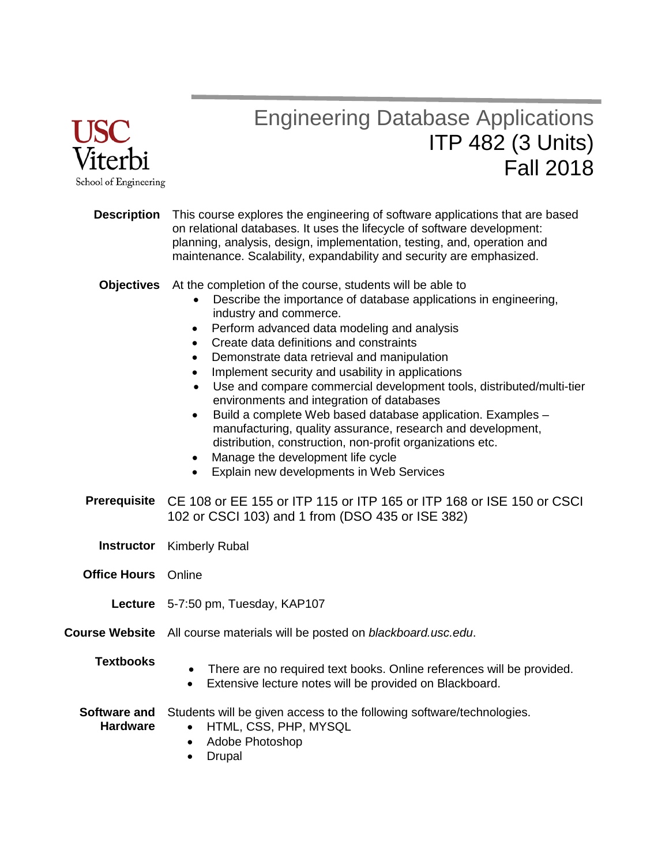

# Engineering Database Applications ITP 482 (3 Units) Fall 2018

| <b>Description</b>                     | This course explores the engineering of software applications that are based<br>on relational databases. It uses the lifecycle of software development:<br>planning, analysis, design, implementation, testing, and, operation and<br>maintenance. Scalability, expandability and security are emphasized.                                                                                                                                                                                                                                                                                                                                                                                                                                                                                                                                            |  |  |
|----------------------------------------|-------------------------------------------------------------------------------------------------------------------------------------------------------------------------------------------------------------------------------------------------------------------------------------------------------------------------------------------------------------------------------------------------------------------------------------------------------------------------------------------------------------------------------------------------------------------------------------------------------------------------------------------------------------------------------------------------------------------------------------------------------------------------------------------------------------------------------------------------------|--|--|
| <b>Objectives</b>                      | At the completion of the course, students will be able to<br>Describe the importance of database applications in engineering,<br>industry and commerce.<br>Perform advanced data modeling and analysis<br>$\bullet$<br>Create data definitions and constraints<br>$\bullet$<br>Demonstrate data retrieval and manipulation<br>$\bullet$<br>Implement security and usability in applications<br>$\bullet$<br>Use and compare commercial development tools, distributed/multi-tier<br>$\bullet$<br>environments and integration of databases<br>Build a complete Web based database application. Examples -<br>$\bullet$<br>manufacturing, quality assurance, research and development,<br>distribution, construction, non-profit organizations etc.<br>Manage the development life cycle<br>٠<br>Explain new developments in Web Services<br>$\bullet$ |  |  |
|                                        | <b>Prerequisite</b> CE 108 or EE 155 or ITP 115 or ITP 165 or ITP 168 or ISE 150 or CSCI<br>102 or CSCI 103) and 1 from (DSO 435 or ISE 382)                                                                                                                                                                                                                                                                                                                                                                                                                                                                                                                                                                                                                                                                                                          |  |  |
|                                        | <b>Instructor</b> Kimberly Rubal                                                                                                                                                                                                                                                                                                                                                                                                                                                                                                                                                                                                                                                                                                                                                                                                                      |  |  |
| <b>Office Hours</b> Online             |                                                                                                                                                                                                                                                                                                                                                                                                                                                                                                                                                                                                                                                                                                                                                                                                                                                       |  |  |
|                                        | Lecture 5-7:50 pm, Tuesday, KAP107                                                                                                                                                                                                                                                                                                                                                                                                                                                                                                                                                                                                                                                                                                                                                                                                                    |  |  |
|                                        | Course Website All course materials will be posted on blackboard.usc.edu.                                                                                                                                                                                                                                                                                                                                                                                                                                                                                                                                                                                                                                                                                                                                                                             |  |  |
| <b>Textbooks</b>                       | There are no required text books. Online references will be provided.<br>$\bullet$<br>Extensive lecture notes will be provided on Blackboard.<br>$\bullet$                                                                                                                                                                                                                                                                                                                                                                                                                                                                                                                                                                                                                                                                                            |  |  |
| <b>Software and</b><br><b>Hardware</b> | Students will be given access to the following software/technologies.<br>HTML, CSS, PHP, MYSQL<br>Adobe Photoshop<br>$\bullet$<br><b>Drupal</b><br>$\bullet$                                                                                                                                                                                                                                                                                                                                                                                                                                                                                                                                                                                                                                                                                          |  |  |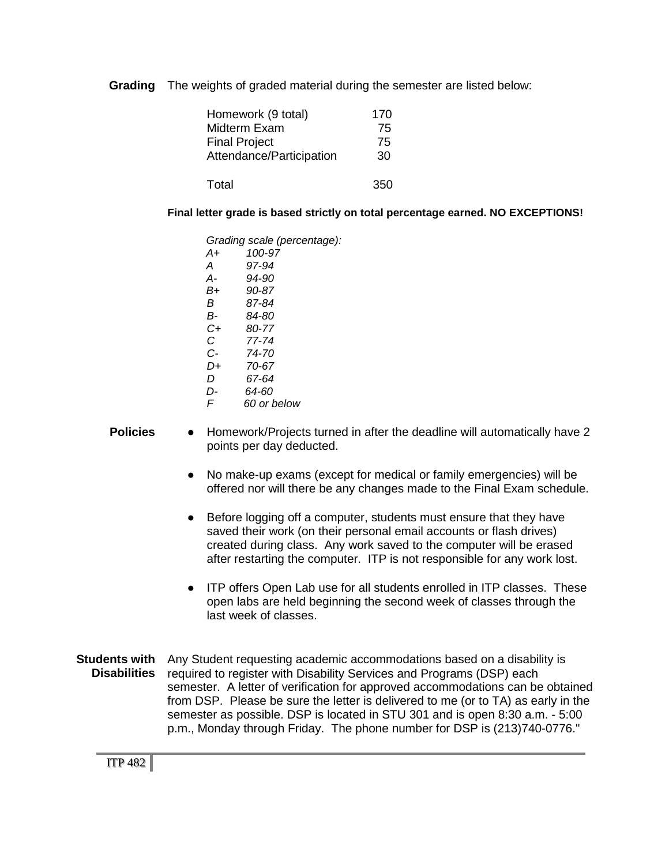**Grading** The weights of graded material during the semester are listed below:

| Homework (9 total)       | 170 |
|--------------------------|-----|
| Midterm Exam             | 75  |
| <b>Final Project</b>     | 75  |
| Attendance/Participation | 30  |
|                          |     |
| Total                    | 350 |

**Final letter grade is based strictly on total percentage earned. NO EXCEPTIONS!**

|    | Grading scale (percentage): |
|----|-----------------------------|
| A+ | 100-97                      |
| А  | 97-94                       |
| А- | 94-90                       |
| B+ | 90-87                       |
| R  | 87-84                       |
| в- | 84-80                       |
| C+ | 80-77                       |
| C  | 77-74                       |
| C- | 74-70                       |
| D+ | 70-67                       |
| D  | 67-64                       |
| D- | 64-60                       |
| F  | 60 or below                 |
|    |                             |

#### **Policies** • Homework/Projects turned in after the deadline will automatically have 2 points per day deducted.

- No make-up exams (except for medical or family emergencies) will be offered nor will there be any changes made to the Final Exam schedule.
- Before logging off a computer, students must ensure that they have saved their work (on their personal email accounts or flash drives) created during class. Any work saved to the computer will be erased after restarting the computer. ITP is not responsible for any work lost.
- ITP offers Open Lab use for all students enrolled in ITP classes. These open labs are held beginning the second week of classes through the last week of classes.
- **Students with** Any Student requesting academic accommodations based on a disability is **Disabilities** required to register with Disability Services and Programs (DSP) each semester. A letter of verification for approved accommodations can be obtained from DSP. Please be sure the letter is delivered to me (or to TA) as early in the semester as possible. DSP is located in STU 301 and is open 8:30 a.m. - 5:00 p.m., Monday through Friday. The phone number for DSP is (213)740-0776."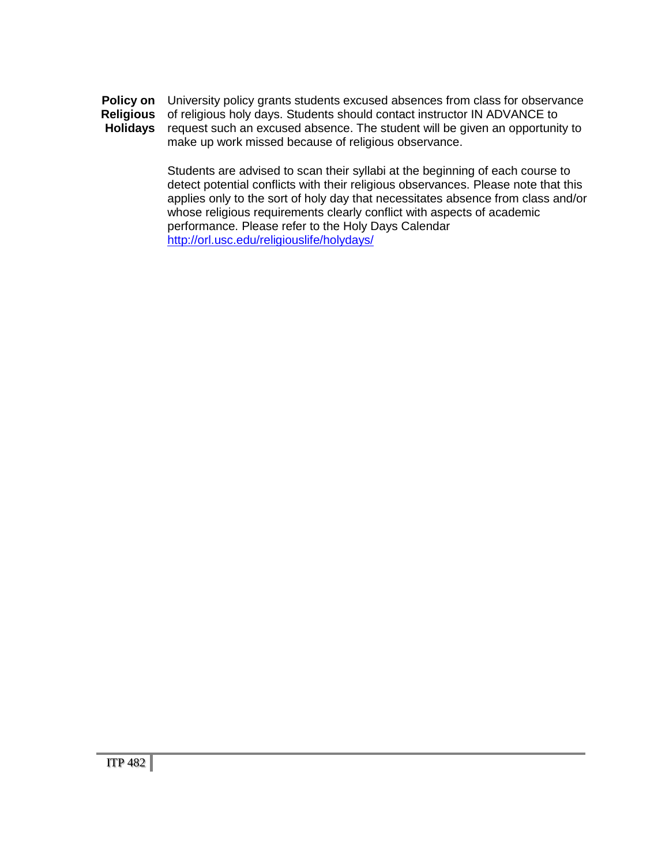**Policy on Religious Holidays** University policy grants students excused absences from class for observance of religious holy days. Students should contact instructor IN ADVANCE to request such an excused absence. The student will be given an opportunity to make up work missed because of religious observance.

> Students are advised to scan their syllabi at the beginning of each course to detect potential conflicts with their religious observances. Please note that this applies only to the sort of holy day that necessitates absence from class and/or whose religious requirements clearly conflict with aspects of academic performance. Please refer to the Holy Days Calendar <http://orl.usc.edu/religiouslife/holydays/>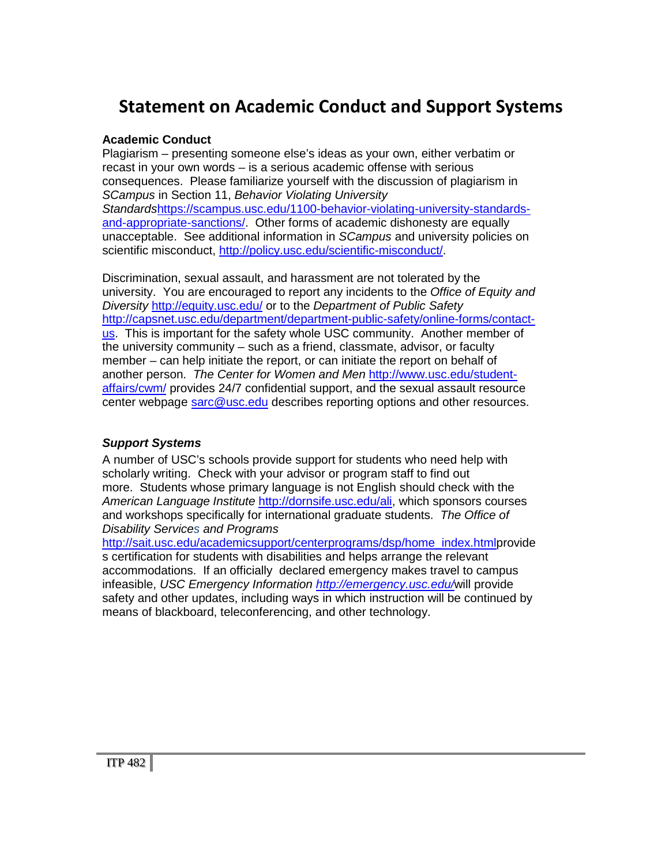### **Statement on Academic Conduct and Support Systems**

#### **Academic Conduct**

Plagiarism – presenting someone else's ideas as your own, either verbatim or recast in your own words – is a serious academic offense with serious consequences. Please familiarize yourself with the discussion of plagiarism in *SCampus* in Section 11, *Behavior Violating University Standards*[https://scampus.usc.edu/1100-behavior-violating-university-standards](https://scampus.usc.edu/1100-behavior-violating-university-standards-and-appropriate-sanctions/)[and-appropriate-sanctions/.](https://scampus.usc.edu/1100-behavior-violating-university-standards-and-appropriate-sanctions/) Other forms of academic dishonesty are equally unacceptable. See additional information in *SCampus* and university policies on scientific misconduct, [http://policy.usc.edu/scientific-misconduct/.](http://policy.usc.edu/scientific-misconduct/)

Discrimination, sexual assault, and harassment are not tolerated by the university. You are encouraged to report any incidents to the *Office of Equity and Diversity* <http://equity.usc.edu/> or to the *Department of Public Safety* [http://capsnet.usc.edu/department/department-public-safety/online-forms/contact](http://capsnet.usc.edu/department/department-public-safety/online-forms/contact-us)[us.](http://capsnet.usc.edu/department/department-public-safety/online-forms/contact-us) This is important for the safety whole USC community. Another member of the university community – such as a friend, classmate, advisor, or faculty member – can help initiate the report, or can initiate the report on behalf of another person. *The Center for Women and Men* [http://www.usc.edu/student](http://www.usc.edu/student-affairs/cwm/)[affairs/cwm/](http://www.usc.edu/student-affairs/cwm/) provides 24/7 confidential support, and the sexual assault resource center webpage [sarc@usc.edu](mailto:sarc@usc.edu) describes reporting options and other resources.

#### *Support Systems*

A number of USC's schools provide support for students who need help with scholarly writing. Check with your advisor or program staff to find out more. Students whose primary language is not English should check with the *American Language Institute* [http://dornsife.usc.edu/ali,](http://dornsife.usc.edu/ali) which sponsors courses and workshops specifically for international graduate students. *The Office of Disability Services and Programs* 

[http://sait.usc.edu/academicsupport/centerprograms/dsp/home\\_index.htmlp](http://sait.usc.edu/academicsupport/centerprograms/dsp/home_index.html)rovide s certification for students with disabilities and helps arrange the relevant accommodations. If an officially declared emergency makes travel to campus infeasible, *USC Emergency Information<http://emergency.usc.edu/>*will provide safety and other updates, including ways in which instruction will be continued by means of blackboard, teleconferencing, and other technology.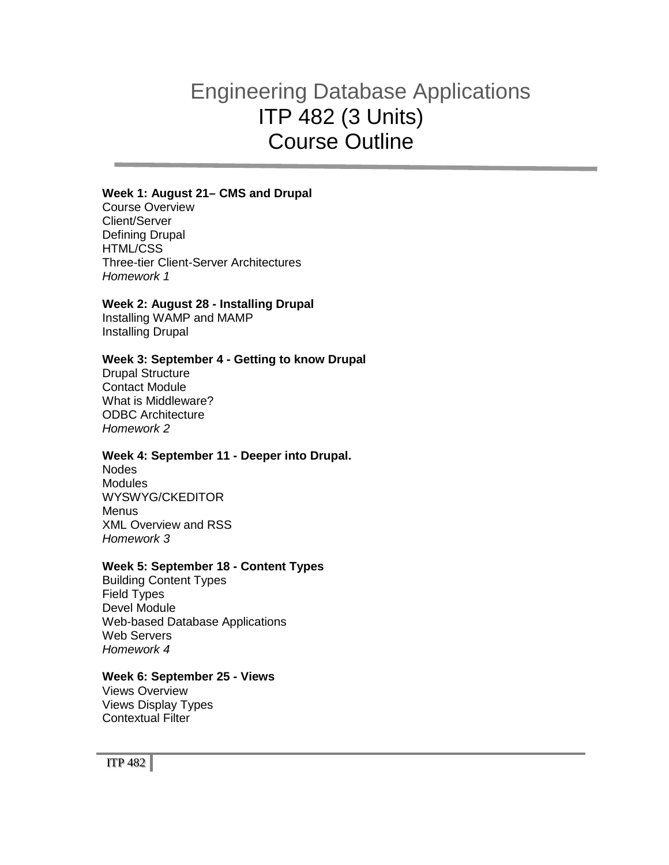## Engineering Database Applications ITP 482 (3 Units) Course Outline

#### **Week 1: August 21– CMS and Drupal**

Course Overview Client/Server Defining Drupal HTML/CSS Three-tier Client-Server Architectures *Homework 1*

#### **Week 2: August 28 - Installing Drupal**

Installing WAMP and MAMP Installing Drupal

#### **Week 3: September 4 - Getting to know Drupal**

Drupal Structure Contact Module What is Middleware? ODBC Architecture *Homework 2*

#### **Week 4: September 11 - Deeper into Drupal.**

Nodes **Modules** WYSWYG/CKEDITOR **Menus** XML Overview and RSS *Homework 3*

#### **Week 5: September 18 - Content Types**

Building Content Types Field Types Devel Module Web-based Database Applications Web Servers *Homework 4*

#### **Week 6: September 25 - Views**

Views Overview Views Display Types Contextual Filter